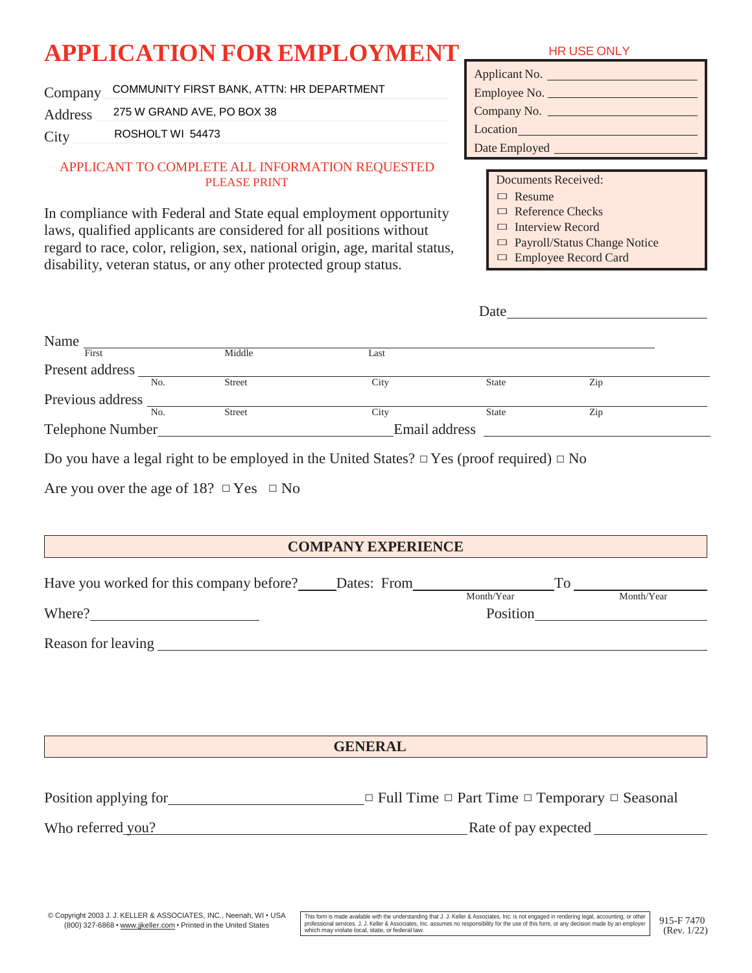# **APPLICATION FOR EMPLOYMENT** HRUSE ONLY

Company COMMUNITY FIRST BANK, ATTN: HR DEPARTMENT

Address 275 W GRAND AVE, PO BOX 38

**City** ROSHOLT WI 54473

#### APPLICANT TO COMPLETE ALL INFORMATION REQUESTED PLEASE PRINT

In compliance with Federal and State equal employment opportunity laws, qualified applicants are considered for all positions without regard to race, color, religion, sex, national origin, age, marital status, disability, veteran status, or any other protected group status.

| Applicant No. |
|---------------|
| Employee No.  |
| Company No.   |
| Location      |
| Date Employed |
|               |

Documents Received:

□ Resume

□ Reference Checks

□ Interview Record

Date

□ Payroll/Status Change Notice

□ Employee Record Card

| First            | Middle        | Last          |              |     |  |
|------------------|---------------|---------------|--------------|-----|--|
| Present address  |               |               |              |     |  |
| No.              | <b>Street</b> | City          | <b>State</b> | Zip |  |
| Previous address |               |               |              |     |  |
| No.              | <b>Street</b> | City          | <b>State</b> | Zip |  |
| Telephone Number |               | Email address |              |     |  |

|  | Are you over the age of 18? $\Box$ Yes $\Box$ No |  |  |
|--|--------------------------------------------------|--|--|
|  |                                                  |  |  |

## **COMPANY EXPERIENCE**

| Have you worked for this company before?<br>Dates: From |            |            |
|---------------------------------------------------------|------------|------------|
|                                                         | Month/Year | Month/Year |
| Where?                                                  | Position   |            |
| Reason for leaving                                      |            |            |

**GENERAL**

Position applying for  $\Box$  Full Time  $\Box$  Part Time  $\Box$  Temporary  $\Box$  Seasonal

Who referred you? Rate of pay expected

pyright 2003 J.J. KELLER & ASSOCIATES, INC., Neenah, WI • USA This form is made available with the understanding that J.J. Keller & Associates, Inc. is not engaged in rendering legal, accounting, or other [915-F 7470] prof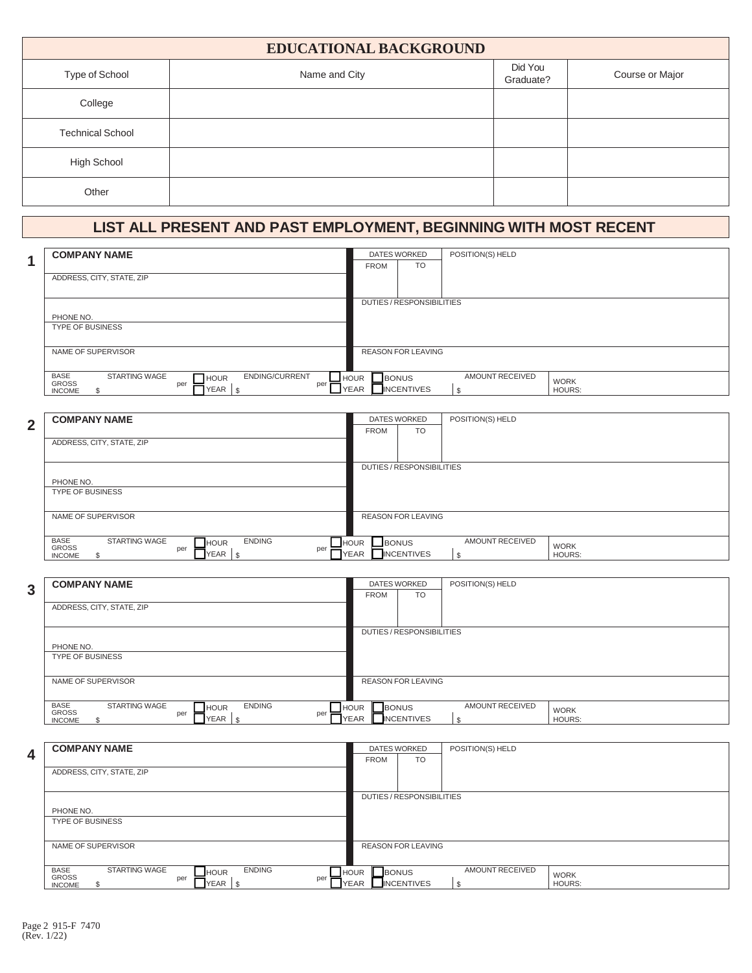| <b>EDUCATIONAL BACKGROUND</b> |               |                      |                 |  |  |
|-------------------------------|---------------|----------------------|-----------------|--|--|
| Type of School                | Name and City | Did You<br>Graduate? | Course or Major |  |  |
| College                       |               |                      |                 |  |  |
| <b>Technical School</b>       |               |                      |                 |  |  |
| High School                   |               |                      |                 |  |  |
| Other                         |               |                      |                 |  |  |

### **LIST ALL PRESENT AND PAST EMPLOYMENT, BEGINNING WITH MOST RECENT**

| <b>COMPANY NAME</b>                                                                                       |                             | <b>DATES WORKED</b>       | POSITION(S) HELD |               |
|-----------------------------------------------------------------------------------------------------------|-----------------------------|---------------------------|------------------|---------------|
|                                                                                                           | <b>FROM</b>                 | <b>TO</b>                 |                  |               |
| ADDRESS, CITY, STATE, ZIP                                                                                 |                             |                           |                  |               |
|                                                                                                           |                             |                           |                  |               |
|                                                                                                           |                             | DUTIES/RESPONSIBILITIES   |                  |               |
| PHONE NO.                                                                                                 |                             |                           |                  |               |
| <b>TYPE OF BUSINESS</b>                                                                                   |                             |                           |                  |               |
|                                                                                                           |                             |                           |                  |               |
| NAME OF SUPERVISOR                                                                                        |                             | <b>REASON FOR LEAVING</b> |                  |               |
|                                                                                                           |                             |                           |                  |               |
| <b>BASE</b><br><b>STARTING WAGE</b><br><b>ENDING/CURRENT</b><br>$\Box$ HOUR<br><b>GROSS</b><br>per<br>per | <b>BONUS</b><br><b>HOUR</b> |                           | AMOUNT RECEIVED  | <b>WORK</b>   |
| YEAR<br>l \$<br><b>INCOME</b>                                                                             | <b>YEAR</b>                 | <b>INCENTIVES</b>         | \$               | <b>HOURS:</b> |

|                | <b>COMPANY NAME</b>                                                 | <b>DATES WORKED</b>           |                           | POSITION(S) HELD |               |
|----------------|---------------------------------------------------------------------|-------------------------------|---------------------------|------------------|---------------|
| $\overline{2}$ |                                                                     | <b>FROM</b>                   | <b>TO</b>                 |                  |               |
|                | ADDRESS, CITY, STATE, ZIP                                           |                               |                           |                  |               |
|                |                                                                     |                               |                           |                  |               |
|                |                                                                     |                               | DUTIES/RESPONSIBILITIES   |                  |               |
|                | PHONE NO.                                                           |                               |                           |                  |               |
|                | <b>TYPE OF BUSINESS</b>                                             |                               |                           |                  |               |
|                |                                                                     |                               |                           |                  |               |
|                | NAME OF SUPERVISOR                                                  |                               | <b>REASON FOR LEAVING</b> |                  |               |
|                |                                                                     |                               |                           |                  |               |
|                | <b>ENDING</b><br><b>BASE</b><br><b>STARTING WAGE</b><br><b>HOUR</b> | <b>L_BONUS</b><br><b>HOUR</b> |                           | AMOUNT RECEIVED  | <b>WORK</b>   |
|                | GROSS<br>per<br>per<br>YEAR  <br>- \$<br><b>INCOME</b>              | <b>YEAR</b>                   | <b>INCENTIVES</b>         |                  | <b>HOURS:</b> |

**3 COMPANY NAME** DATES WORKED FROM ADDRESS, CITY, STATE, ZIP DUTIES / RESPONSIBILITIES PHONE NO. TYPE OF BUSINESS BASE **GROSS** INCOME STARTING WAGE **FILL AND STARTING** per □ HOUR  $\bullet$  Per  $\blacksquare$  YEAR  $\vert \text{\$}$ per HOUR<br>YEAR  $\overline{\phantom{a}}$ HOUR  $\overline{\phantom{a}}$ BONUS YEAR NCENTIVES AMOUNT RECEIVED  $|s$ WORK HOURS: NAME OF SUPERVISOR REASON FOR LEAVING TO POSITION(S) HELD

**4 COMPANY NAME** DATES WORKED FROM ADDRESS, CITY, STATE, ZIP DUTIES / RESPONSIBILITIES PHONE NO. TYPE OF BUSINESS **BASE** GROSS<sub>S</sub> **INCOME** STARTING WAGE **FILL**HOUR ENDING per □ HOUR  $\overline{\phantom{a}}$   $\overline{\phantom{a}}$  YEAR  $\overline{\phantom{a}}$   $\overline{\phantom{a}}$  YEAR  $\overline{\phantom{a}}$ per HOUR<br>
YEAR  $\overline{\phantom{a}}$ HOUR  $\overline{\phantom{a}}$ BONUS YEAR **NO INCENTIVES** AMOUNT RECEIVED  $\frac{1}{2}$ WORK HOURS: NAME OF SUPERVISOR REASON FOR LEAVING TO POSITION(S) HELD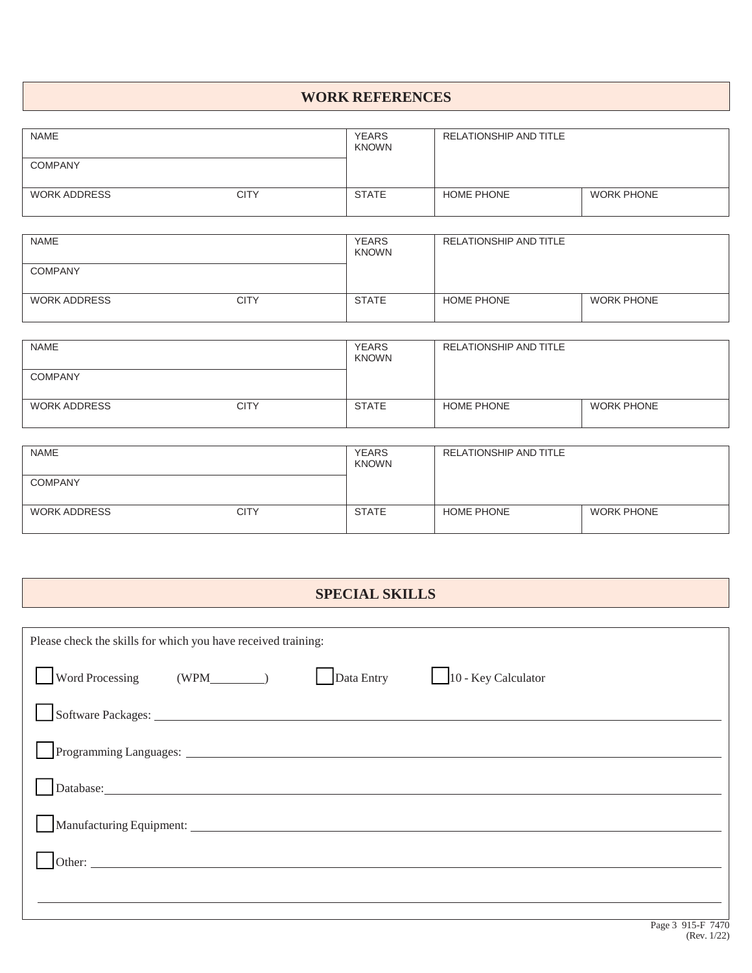#### **WORK REFERENCES**

| <b>NAME</b>         |             | <b>YEARS</b><br><b>KNOWN</b> | RELATIONSHIP AND TITLE |                   |
|---------------------|-------------|------------------------------|------------------------|-------------------|
| <b>COMPANY</b>      |             |                              |                        |                   |
| <b>WORK ADDRESS</b> | <b>CITY</b> | <b>STATE</b>                 | <b>HOME PHONE</b>      | <b>WORK PHONE</b> |

| <b>NAME</b>         |             | <b>YEARS</b><br><b>KNOWN</b> | <b>RELATIONSHIP AND TITLE</b> |                   |
|---------------------|-------------|------------------------------|-------------------------------|-------------------|
| <b>COMPANY</b>      |             |                              |                               |                   |
| <b>WORK ADDRESS</b> | <b>CITY</b> | <b>STATE</b>                 | HOME PHONE                    | <b>WORK PHONE</b> |

| <b>NAME</b>         |             | <b>YEARS</b><br><b>KNOWN</b> | RELATIONSHIP AND TITLE |                   |
|---------------------|-------------|------------------------------|------------------------|-------------------|
| <b>COMPANY</b>      |             |                              |                        |                   |
| <b>WORK ADDRESS</b> | <b>CITY</b> | <b>STATE</b>                 | <b>HOME PHONE</b>      | <b>WORK PHONE</b> |

| <b>NAME</b>         |             | <b>YEARS</b><br><b>KNOWN</b> | RELATIONSHIP AND TITLE |                   |
|---------------------|-------------|------------------------------|------------------------|-------------------|
| <b>COMPANY</b>      |             |                              |                        |                   |
| <b>WORK ADDRESS</b> | <b>CITY</b> | <b>STATE</b>                 | <b>HOME PHONE</b>      | <b>WORK PHONE</b> |

### **SPECIAL SKILLS**

| Please check the skills for which you have received training: |            |                     |
|---------------------------------------------------------------|------------|---------------------|
|                                                               | Data Entry | 10 - Key Calculator |
|                                                               |            |                     |
|                                                               |            |                     |
|                                                               |            |                     |
| Manufacturing Equipment: Manufacturing Equipment:             |            |                     |
|                                                               |            |                     |
|                                                               |            |                     |